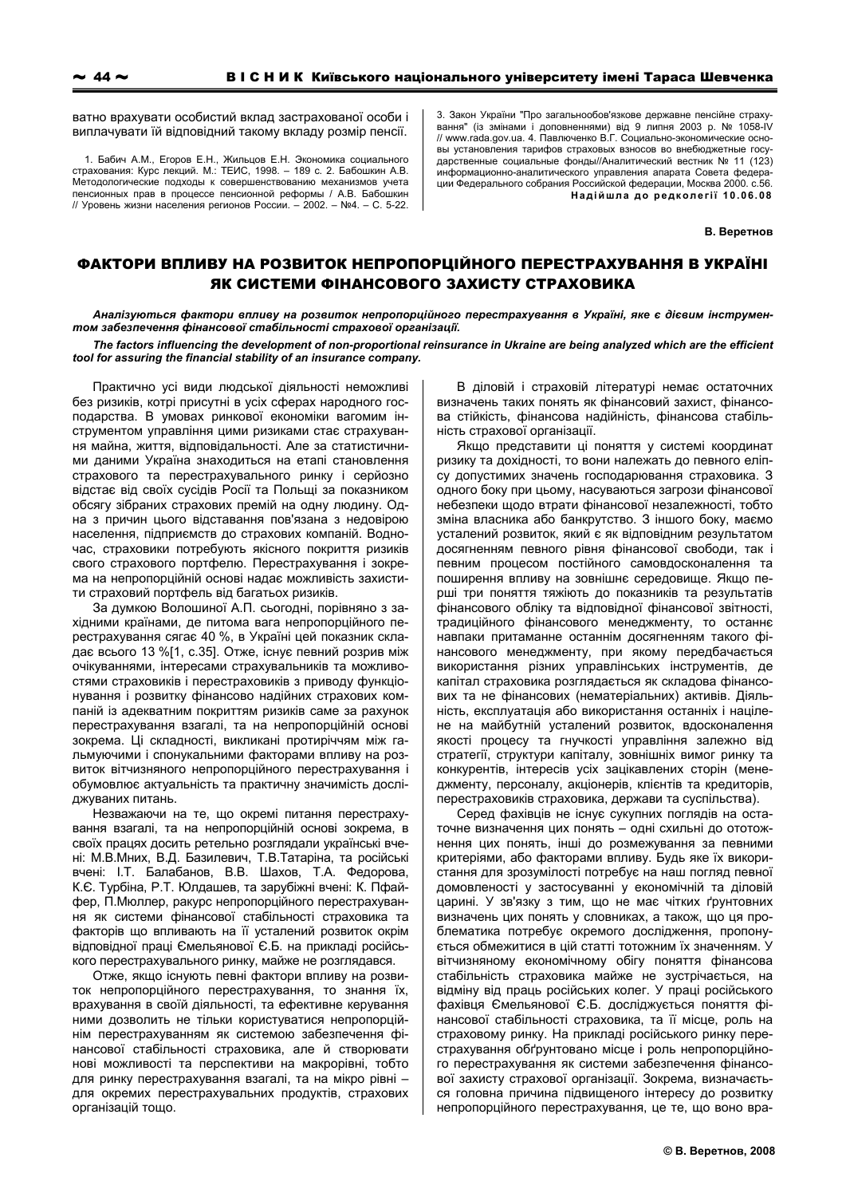ватно врахувати особистий вклад застрахованої особи і виплачувати їй відповідний такому вкладу розмір пенсії.

1. Бабич А.М., Егоров Е.Н., Жильцов Е.Н. Экономика социального страхования: Курс лекций. М.: ТЕИС, 1998. - 189 с. 2. Бабошкин А.В. Методологические подходы к совершенствованию механизмов учета пенсионных прав в процессе пенсионной реформы / А.В. Бабошкин // Уровень жизни населения регионов России. - 2002. - №4. - С. 5-22. 3. Закон України "Про загальнообов'язкове державне пенсійне страху вання" (із змінами і доповненнями) від 9 липня 2003 р. № 1058-IV // www.rada.gov.ua. 4. Павлюченко В.Г. Социально-экономические основы установления тарифов страховых взносов во внебюджетные госу ларственные социальные фонды//Аналитический вестник № 11 (123) информационно-аналитического управления апарата Совета федерации Федерального собрания Российской федерации, Москва 2000. с.56. Надійшла до редколегії 10.06.08

В. Веретнов

## ФАКТОРИ ВПЛИВУ НА РОЗВИТОК НЕПРОПОРШЙНОГО ПЕРЕСТРАХУВАННЯ В УКРАЇНІ ЯК СИСТЕМИ ФІНАНСОВОГО ЗАХИСТУ СТРАХОВИКА

Аналізуються фактори впливу на розвиток непропорційного перестрахування в Україні, яке є дієвим інструментом забезпечення фінансової стабільності страхової організації.

The factors influencing the development of non-proportional reinsurance in Ukraine are being analyzed which are the efficient tool for assuring the financial stability of an insurance company.

Практично усі види людської діяльності неможливі без ризиків, котрі присутні в усіх сферах народного господарства. В умовах ринкової економіки вагомим інструментом управління цими ризиками стає страхування майна, життя, відповідальності. Але за статистичними даними Україна знаходиться на етапі становлення страхового та перестрахувального ринку і серйозно відстає від своїх сусідів Росії та Польщі за показником обсягу зібраних страхових премій на одну людину. Одна з причин цього відставання пов'язана з недовірою населення, підприємств до страхових компаній. Водночас, страховики потребують якісного покриття ризиків свого страхового портфелю. Перестрахування і зокрема на непропорційній основі надає можливість захистити страховий портфель від багатьох ризиків.

За думкою Волошиної А.П. сьогодні, порівняно з західними країнами, де питома вага непропорційного перестрахування сягає 40 %, в Україні цей показник складає всього 13 %[1, с.35]. Отже, існує певний розрив між очікуваннями, інтересами страхувальників та можливостями страховиків і перестраховиків з приводу функціонування і розвитку фінансово надійних страхових компаній із адекватним покриттям ризиків саме за рахунок перестрахування взагалі, та на непропорційній основі зокрема. Ці складності, викликані протиріччям між гальмуючими і спонукальними факторами впливу на розвиток вітчизняного непропорційного перестрахування і обумовлює актуальність та практичну значимість досліджуваних питань.

Незважаючи на те, що окремі питання перестрахування взагалі, та на непропорційній основі зокрема, в своїх працях досить ретельно розглядали українські вчені: М.В.Мних, В.Д. Базилевич, Т.В.Татаріна, та російські вчені: І.Т. Балабанов, В.В. Шахов, Т.А. Федорова, К.Є. Турбіна, Р.Т. Юлдашев, та зарубіжні вчені: К. Пфайфер, П. Мюллер, ракурс непропорційного перестрахування як системи фінансової стабільності страховика та факторів що впливають на її усталений розвиток окрім відповідної праці Ємельянової Є.Б. на прикладі російського перестрахувального ринку, майже не розглядався.

Отже, якщо існують певні фактори впливу на розвиток непропорційного перестрахування, то знання їх, врахування в своїй діяльності, та ефективне керування ними дозволить не тільки користуватися непропорційнім перестрахуванням як системою забезпечення фінансової стабільності страховика, але й створювати нові можливості та перспективи на макрорівні, тобто для ринку перестрахування взагалі, та на мікро рівні для окремих перестрахувальних продуктів, страхових організацій тощо.

В діловій і страховій літературі немає остаточних визначень таких понять як фінансовий захист, фінансова стійкість, фінансова надійність, фінансова стабільність страхової організації.

Якщо представити ці поняття у системі координат ризику та дохідності, то вони належать до певного еліпсу допустимих значень господарювання страховика. З одного боку при цьому, насуваються загрози фінансової небезпеки щодо втрати фінансової незалежності, тобто зміна власника або банкрутство. З іншого боку, маємо усталений розвиток, який є як відповідним результатом досягненням певного рівня фінансової свободи, так і певним процесом постійного самовдосконалення та поширення впливу на зовнішнє середовище. Якщо перші три поняття тяжіють до показників та результатів фінансового обліку та відповідної фінансової звітності, традиційного фінансового менеджменту, то останнє навпаки притаманне останнім досягненням такого фінансового менеджменту, при якому передбачається використання різних управлінських інструментів, де капітал страховика розглядається як складова фінансових та не фінансових (нематеріальних) активів. Діяльність, експлуатація або використання останніх і націлене на майбутній усталений розвиток, вдосконалення якості процесу та гнучкості управління залежно від стратегії, структури капіталу, зовнішніх вимог ринку та конкурентів, інтересів усіх зацікавлених сторін (менеджменту, персоналу, акціонерів, клієнтів та кредиторів, перестраховиків страховика, держави та суспільства).

Серед фахівців не існує сукупних поглядів на остаточне визначення цих понять - одні схильні до ототожнення цих понять, інші до розмежування за певними критеріями, або факторами впливу. Будь яке їх використання для зрозумілості потребує на наш погляд певної домовленості у застосуванні у економічній та діловій царині. У зв'язку з тим, що не має чітких ґрунтовних визначень цих понять у словниках, а також, що ця проблематика потребує окремого дослідження, пропонується обмежитися в цій статті тотожним їх значенням. У вітчизняному економічному обігу поняття фінансова стабільність страховика майже не зустрічається, на відміну від праць російських колег. У праці російського фахівця Ємельянової Є.Б. досліджується поняття фінансової стабільності страховика, та її місце, роль на страховому ринку. На прикладі російського ринку перестрахування обґрунтовано місце і роль непропорційного перестрахування як системи забезпечення фінансової захисту страхової організації. Зокрема, визначається головна причина підвищеного інтересу до розвитку непропорційного перестрахування, це те, що воно вра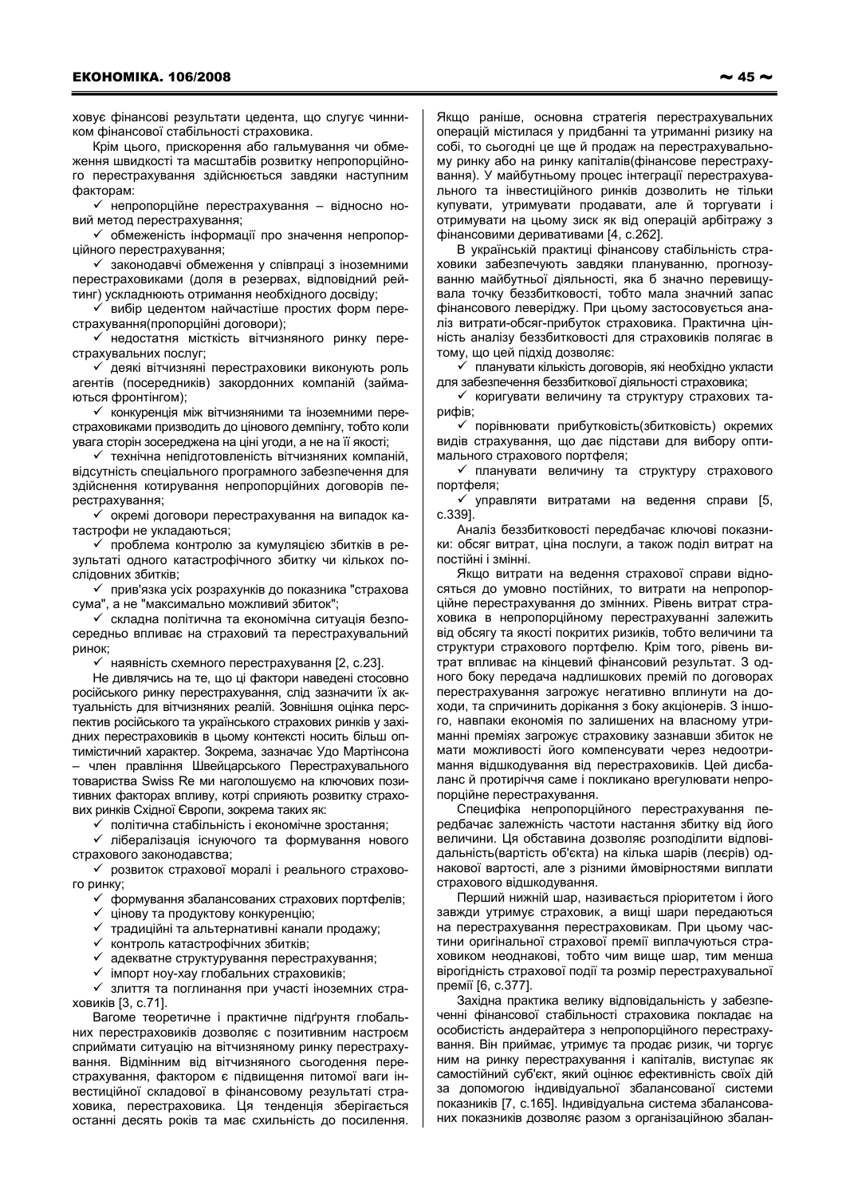ховує фінансові результати цедента, що слугує чинником фінансової стабільності страховика.

Крім цього, прискорення або гальмування чи обмеження швидкості та масштабів розвитку непропорційного перестрахування здійснюється завдяки наступним факторам:

√ непропорційне перестрахування - відносно новий метод перестрахування;

√ обмеженість інформації про значення непропорційного перестрахування;

√ законодавчі обмеження у співпраці з іноземними перестраховиками (доля в резервах, відповідний рейтинг) ускладнюють отримання необхідного досвіду;

√ вибір цедентом найчастіше простих форм перестрахування (пропорційні договори):

√ недостатня місткість вітчизняного ринку перестрахувальних послуг:

√ деякі вітчизняні перестраховики виконують роль агентів (посередників) закордонних компаній (займаються фронтінгом);

√ конкуренція між вітчизняними та іноземними перестраховиками призводить до цінового демпінгу, тобто коли увага сторін зосереджена на ціні угоди, а не на її якості;

√ технічна непідготовленість вітчизняних компаній, відсутність спеціального програмного забезпечення для здійснення котирування непропорційних договорів перестрахування;

√ окремі договори перестрахування на випадок катастрофи не укладаються;

√ проблема контролю за кумуляцією збитків в результаті одного катастрофічного збитку чи кількох послідовних збитків;

√ прив'язка усіх розрахунків до показника "страхова сума", а не "максимально можливий збиток";

√ складна політична та економічна ситуація безпосередньо впливає на страховий та перестрахувальний ринок:

√ наявність схемного перестрахування [2, с.23].

Не дивлячись на те, що ці фактори наведені стосовно російського ринку перестрахування, слід зазначити їх актуальність для вітчизняних реалій. Зовнішня оцінка перспектив російського та українського страхових ринків у західних перестраховиків в цьому контексті носить більш оптимістичний характер. Зокрема, зазначає Удо Мартінсона - член правління Швейцарського Перестрахувального товариства Swiss Re ми наголошуємо на ключових позитивних факторах впливу, котрі сприяють розвитку страхових ринків Східної Європи, зокрема таких як:

√ політична стабільність і економічне зростання:

√ лібералізація існуючого та формування нового страхового законодавства:

√ розвиток страхової моралі і реального страхового ринку;

√ формування збалансованих страхових портфелів;

- √ цінову та продуктову конкуренцію;
- √ традиційні та альтернативні канали продажу;
- √ контроль катастрофічних збитків;

адекватне структурування перестрахування;

 $\checkmark$ імпорт ноу-хау глобальних страховиків:

√ злиття та поглинання при участі іноземних страховиків [3, с.71].

Вагоме теоретичне і практичне підґрунтя глобальних перестраховиків дозволяє с позитивним настроєм сприймати ситуацію на вітчизняному ринку перестрахування. Відмінним від вітчизняного сьогодення перестрахування, фактором є підвищення питомої ваги інвестиційної складової в фінансовому результаті страховика, перестраховика. Ця тенденція зберігається останні десять років та має схильність до посилення.

Якщо раніше, основна стратегія перестрахувальних операцій містилася у придбанні та утриманні ризику на собі, то сьогодні це ще й продаж на перестрахувальному ринку або на ринку капіталів(фінансове перестрахування). У майбутньому процес інтеграції перестрахувального та інвестиційного ринків дозволить не тільки купувати, утримувати продавати, але й торгувати і отримувати на цьому зиск як від операцій арбітражу з фінансовими деривативами [4, с.262].

В українській практиці фінансову стабільність страховики забезпечують завдяки плануванню, прогнозуванню майбутньої діяльності, яка б значно перевищувала точку беззбитковості, тобто мала значний запас фінансового леверіджу. При цьому застосовується аналіз витрати-обсяг-прибуток страховика. Практична цінність аналізу беззбитковості для страховиків полягає в тому, що цей підхід дозволяє:

√ планувати кількість договорів, які необхідно укласти для забезпечення беззбиткової діяльності страховика;

√ коригувати величину та структуру страхових тарифів;

у порівнювати прибутковість (збитковість) окремих видів страхування, що дає підстави для вибору оптимального страхового портфеля;

√ планувати величину та структуру страхового портфеля;

 $\checkmark$  управляти витратами на ведення справи [5,  $c.3391$ 

Аналіз беззбитковості передбачає ключові показники: обсяг витрат, ціна послуги, а також поділ витрат на постійні і змінні.

Якщо витрати на ведення страхової справи відносяться до умовно постійних, то витрати на непропорційне перестрахування до змінних. Рівень витрат страховика в непропорційному перестрахуванні залежить від обсягу та якості покритих ризиків, тобто величини та структури страхового портфелю. Крім того, рівень витрат впливає на кінцевий фінансовий результат. З одного боку передача надлишкових премій по договорах перестрахування загрожує негативно вплинути на доходи, та спричинить дорікання з боку акціонерів. З іншого, навпаки економія по залишених на власному утриманні преміях загрожує страховику зазнавши збиток не мати можливості його компенсувати через недоотримання відшкодування від перестраховиків. Цей дисбаланс й протиріччя саме і покликано врегулювати непропорційне перестрахування.

Специфіка непропорційного перестрахування передбачає залежність частоти настання збитку від його величини. Ця обставина дозволяє розподілити відповідальність (вартість об'єкта) на кілька шарів (леєрів) однакової вартості, але з різними ймовірностями виплати страхового відшкодування.

Перший нижній шар, називається пріоритетом і його завжди утримує страховик, а вищі шари передаються на перестрахування перестраховикам. При цьому частини оригінальної страхової премії виплачуються страховиком неоднакові, тобто чим вище шар, тим менша вірогідність страхової події та розмір перестрахувальної премії [6, с.377].

Західна практика велику відповідальність у забезпеченні фінансової стабільності страховика покладає на особистість андерайтера з непропорційного перестрахування. Він приймає, утримує та продає ризик, чи торгує ним на ринку перестрахування і капіталів, виступає як самостійний суб'єкт, який оцінює ефективність своїх дій за допомогою індивідуальної збалансованої системи показників [7, с.165]. Індивідуальна система збалансованих показників дозволяє разом з організаційною збалан